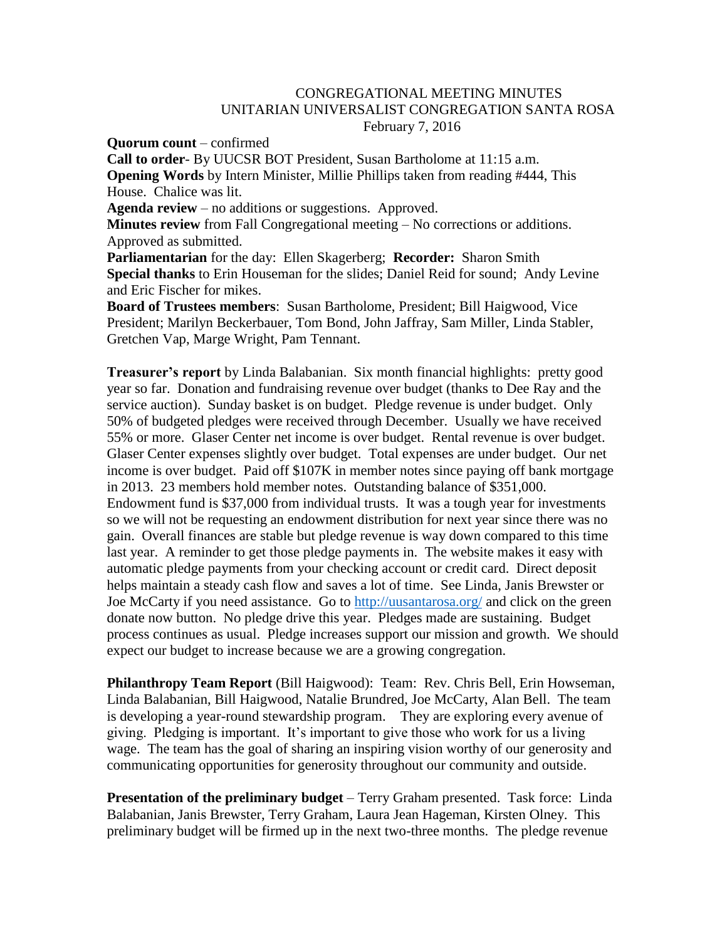## CONGREGATIONAL MEETING MINUTES UNITARIAN UNIVERSALIST CONGREGATION SANTA ROSA February 7, 2016

**Quorum count** – confirmed

**Call to order**- By UUCSR BOT President, Susan Bartholome at 11:15 a.m. **Opening Words** by Intern Minister, Millie Phillips taken from reading #444, This House. Chalice was lit. **Agenda review** – no additions or suggestions. Approved. **Minutes review** from Fall Congregational meeting – No corrections or additions. Approved as submitted. **Parliamentarian** for the day: Ellen Skagerberg; **Recorder:** Sharon Smith **Special thanks** to Erin Houseman for the slides; Daniel Reid for sound; Andy Levine and Eric Fischer for mikes. **Board of Trustees members**: Susan Bartholome, President; Bill Haigwood, Vice President; Marilyn Beckerbauer, Tom Bond, John Jaffray, Sam Miller, Linda Stabler, Gretchen Vap, Marge Wright, Pam Tennant.

**Treasurer's report** by Linda Balabanian. Six month financial highlights: pretty good year so far. Donation and fundraising revenue over budget (thanks to Dee Ray and the service auction). Sunday basket is on budget. Pledge revenue is under budget. Only 50% of budgeted pledges were received through December. Usually we have received 55% or more. Glaser Center net income is over budget. Rental revenue is over budget. Glaser Center expenses slightly over budget. Total expenses are under budget. Our net income is over budget. Paid off \$107K in member notes since paying off bank mortgage in 2013. 23 members hold member notes. Outstanding balance of \$351,000. Endowment fund is \$37,000 from individual trusts. It was a tough year for investments so we will not be requesting an endowment distribution for next year since there was no gain. Overall finances are stable but pledge revenue is way down compared to this time last year. A reminder to get those pledge payments in. The website makes it easy with automatic pledge payments from your checking account or credit card. Direct deposit helps maintain a steady cash flow and saves a lot of time. See Linda, Janis Brewster or Joe McCarty if you need assistance. Go to<http://uusantarosa.org/> and click on the green donate now button. No pledge drive this year. Pledges made are sustaining. Budget process continues as usual. Pledge increases support our mission and growth. We should expect our budget to increase because we are a growing congregation.

**Philanthropy Team Report** (Bill Haigwood): Team: Rev. Chris Bell, Erin Howseman, Linda Balabanian, Bill Haigwood, Natalie Brundred, Joe McCarty, Alan Bell. The team is developing a year-round stewardship program. They are exploring every avenue of giving. Pledging is important. It's important to give those who work for us a living wage. The team has the goal of sharing an inspiring vision worthy of our generosity and communicating opportunities for generosity throughout our community and outside.

**Presentation of the preliminary budget** – Terry Graham presented. Task force: Linda Balabanian, Janis Brewster, Terry Graham, Laura Jean Hageman, Kirsten Olney. This preliminary budget will be firmed up in the next two-three months. The pledge revenue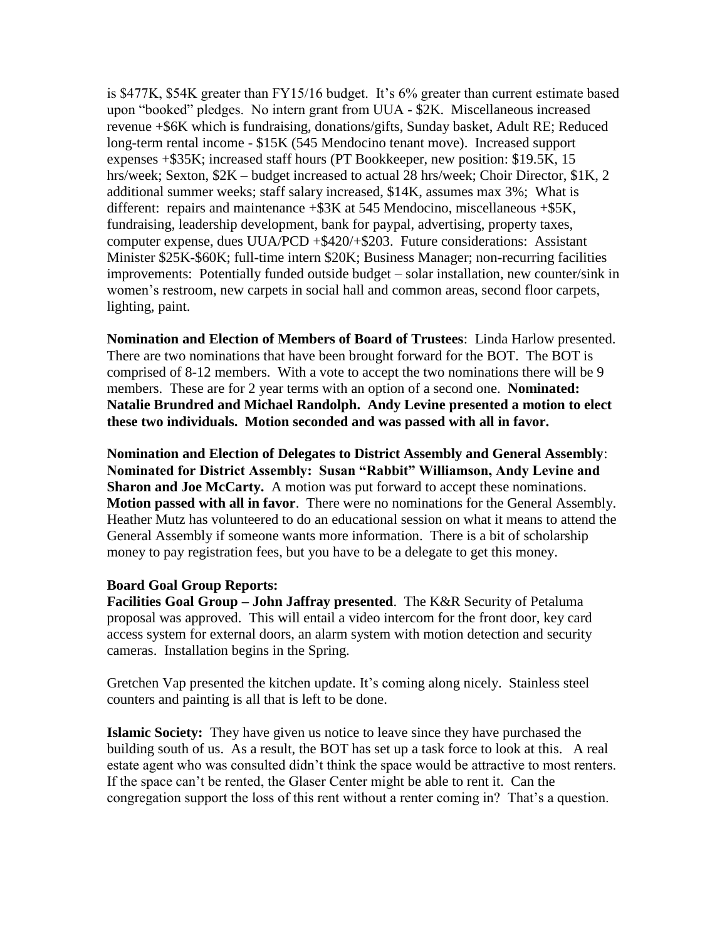is \$477K, \$54K greater than FY15/16 budget. It's 6% greater than current estimate based upon "booked" pledges. No intern grant from UUA - \$2K. Miscellaneous increased revenue +\$6K which is fundraising, donations/gifts, Sunday basket, Adult RE; Reduced long-term rental income - \$15K (545 Mendocino tenant move). Increased support expenses +\$35K; increased staff hours (PT Bookkeeper, new position: \$19.5K, 15 hrs/week; Sexton, \$2K – budget increased to actual 28 hrs/week; Choir Director, \$1K, 2 additional summer weeks; staff salary increased, \$14K, assumes max 3%; What is different: repairs and maintenance +\$3K at 545 Mendocino, miscellaneous +\$5K, fundraising, leadership development, bank for paypal, advertising, property taxes, computer expense, dues UUA/PCD +\$420/+\$203. Future considerations: Assistant Minister \$25K-\$60K; full-time intern \$20K; Business Manager; non-recurring facilities improvements: Potentially funded outside budget – solar installation, new counter/sink in women's restroom, new carpets in social hall and common areas, second floor carpets, lighting, paint.

**Nomination and Election of Members of Board of Trustees**: Linda Harlow presented. There are two nominations that have been brought forward for the BOT. The BOT is comprised of 8-12 members. With a vote to accept the two nominations there will be 9 members. These are for 2 year terms with an option of a second one. **Nominated: Natalie Brundred and Michael Randolph. Andy Levine presented a motion to elect these two individuals. Motion seconded and was passed with all in favor.**

**Nomination and Election of Delegates to District Assembly and General Assembly**: **Nominated for District Assembly: Susan "Rabbit" Williamson, Andy Levine and Sharon and Joe McCarty.** A motion was put forward to accept these nominations. **Motion passed with all in favor**. There were no nominations for the General Assembly. Heather Mutz has volunteered to do an educational session on what it means to attend the General Assembly if someone wants more information. There is a bit of scholarship money to pay registration fees, but you have to be a delegate to get this money.

## **Board Goal Group Reports:**

**Facilities Goal Group – John Jaffray presented**. The K&R Security of Petaluma proposal was approved. This will entail a video intercom for the front door, key card access system for external doors, an alarm system with motion detection and security cameras. Installation begins in the Spring.

Gretchen Vap presented the kitchen update. It's coming along nicely. Stainless steel counters and painting is all that is left to be done.

**Islamic Society:** They have given us notice to leave since they have purchased the building south of us. As a result, the BOT has set up a task force to look at this. A real estate agent who was consulted didn't think the space would be attractive to most renters. If the space can't be rented, the Glaser Center might be able to rent it. Can the congregation support the loss of this rent without a renter coming in? That's a question.